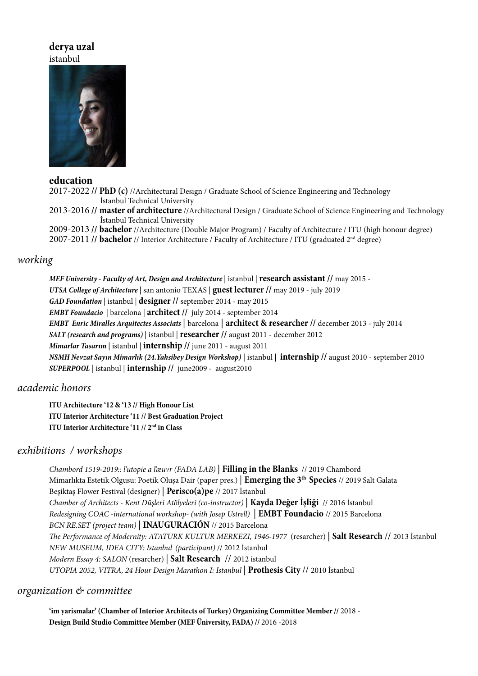# **derya uzal** istanbul



## **education**

2017-2022 **// PhD (c)** //Architectural Design / Graduate School of Science Engineering and Technology İstanbul Technical University

2013-2016 **// master of architecture** //Architectural Design / Graduate School of Science Engineering and Technology İstanbul Technical University

2009-2013 **// bachelor** //Architecture (Double Major Program) / Faculty of Architecture / ITU (high honour degree) 2007-2011 **// bachelor** // Interior Architecture / Faculty of Architecture / ITU (graduated 2nd degree)

# *working*

*MEF University - Faculty of Art, Design and Architecture*| istanbul | **research assistant //** may 2015 - *UTSA College of Architecture* | san antonio TEXAS | **guest lecturer //** may 2019 - july 2019 *GAD Foundation* | istanbul | **designer //** september 2014 - may 2015 *EMBT Foundacio*| barcelona | **architect //** july 2014 - september 2014 *EMBT Enric Miralles Arquitectes Associats* | barcelona | **architect & researcher //** december 2013 - july 2014 *SALT (research and programs)* | istanbul | **researcher //** august 2011 - december 2012 *Mimarlar Tasarım* | istanbul | **internship //** june 2011 - august 2011 *NSMH Nevzat Sayın Mimarlık (24.Yahsibey Design Workshop)* | istanbul | **internship //** august 2010 - september 2010 *SUPERPOOL* | istanbul | **internship //** june2009 - august2010

# *academic honors*

**ITU Architecture '12 & '13 // High Honour List ITU Interior Architecture '11 // Best Graduation Project ITU Interior Architecture '11 // 2nd in Class**

# *exhibitions / workshops*

*Chambord 1519-2019:: l'utopie a l'æuvr (FADA LAB)* | **Filling in the Blanks** // 2019 Chambord Mimarlıkta Estetik Olgusu: Poetik Oluşa Dair (paper pres.) | **Emerging the 3th Species** // 2019 Salt Galata Beşiktaş Flower Festival (designer) | **Perisco(a)pe** // 2017 İstanbul *Chamber of Architects - Kent Düşleri Atölyeleri (co-instructor)* | **Kayda Değer İşliği** // 2016 İstanbul *Redesigning COAC -international workshop- (with Josep Ustrell)* | **EMBT Foundacio** // 2015 Barcelona *BCN RE.SET (project team)* | **INAUGURACIÓN** // 2015 Barcelona *The Performance of Modernity: ATATURK KULTUR MERKEZI, 1946-1977* (resarcher) | **Salt Research** // 2013 İstanbul *NEW MUSEUM, IDEA CITY: Istanbul**(participant)* // 2012 İstanbul *Modern Essay 4: SALON* (resarcher) | **Salt Research** // 2012 istanbul *UTOPIA 2052, VITRA, 24 Hour Design Marathon I: Istanbul* | **Prothesis City** // 2010 İstanbul

## *organization & committee*

**'im yarismalar' (Chamber of Interior Architects of Turkey) Organizing Committee Member //** 2018 - **Design Build Studio Committee Member (MEF Üniversity, FADA) //** 2016 -2018